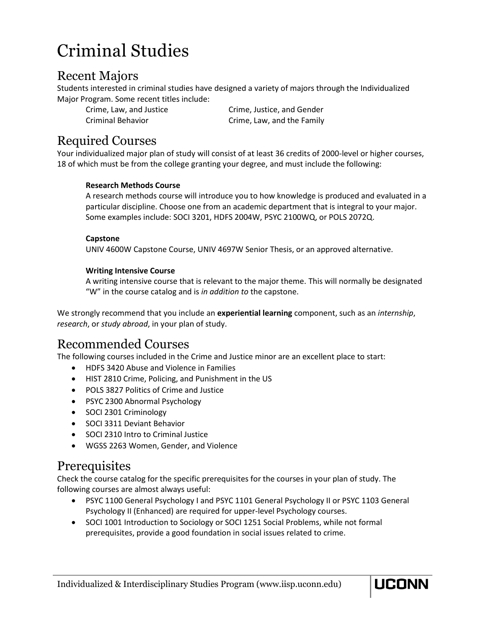# Criminal Studies

### Recent Majors

Students interested in criminal studies have designed a variety of majors through the Individualized Major Program. Some recent titles include:

Crime, Law, and Justice Crime, Justice, and Gender Criminal Behavior Crime, Law, and the Family

# Required Courses

Your individualized major plan of study will consist of at least 36 credits of 2000-level or higher courses, 18 of which must be from the college granting your degree, and must include the following:

#### **Research Methods Course**

A research methods course will introduce you to how knowledge is produced and evaluated in a particular discipline. Choose one from an academic department that is integral to your major. Some examples include: SOCI 3201, HDFS 2004W, PSYC 2100WQ, or POLS 2072Q.

#### **Capstone**

UNIV 4600W Capstone Course, UNIV 4697W Senior Thesis, or an approved alternative.

#### **Writing Intensive Course**

A writing intensive course that is relevant to the major theme. This will normally be designated "W" in the course catalog and is *in addition to* the capstone.

We strongly recommend that you include an **experiential learning** component, such as an *internship*, *research*, or *study abroad*, in your plan of study.

## Recommended Courses

The following courses included in the Crime and Justice minor are an excellent place to start:

- HDFS 3420 Abuse and Violence in Families
- HIST 2810 Crime, Policing, and Punishment in the US
- POLS 3827 Politics of Crime and Justice
- PSYC 2300 Abnormal Psychology
- SOCI 2301 Criminology
- SOCI 3311 Deviant Behavior
- SOCI 2310 Intro to Criminal Justice
- WGSS 2263 Women, Gender, and Violence

### **Prerequisites**

Check the course catalog for the specific prerequisites for the courses in your plan of study. The following courses are almost always useful:

• PSYC 1100 General Psychology I and PSYC 1101 General Psychology II or PSYC 1103 General Psychology II (Enhanced) are required for upper-level Psychology courses.

UCONN

• SOCI 1001 Introduction to Sociology or SOCI 1251 Social Problems, while not formal prerequisites, provide a good foundation in social issues related to crime.